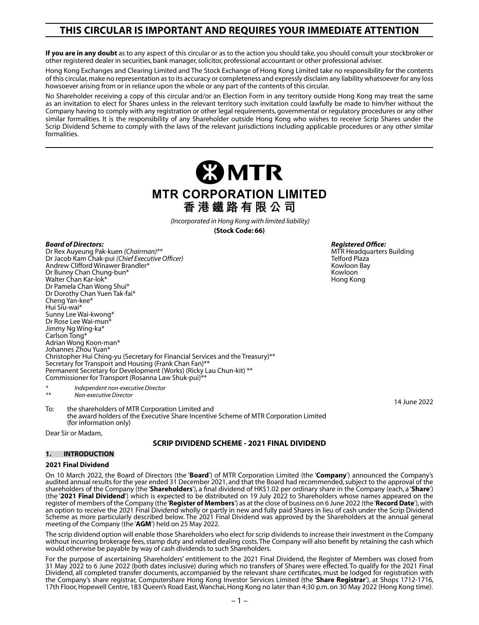# **THIS CIRCULAR IS IMPORTANT AND REQUIRES YOUR IMMEDIATE ATTENTION**

**If you are in any doubt** as to any aspect of this circular or as to the action you should take, you should consult your stockbroker or other registered dealer in securities, bank manager, solicitor, professional accountant or other professional adviser.

Hong Kong Exchanges and Clearing Limited and The Stock Exchange of Hong Kong Limited take no responsibility for the contents of this circular, make no representation as to its accuracy or completeness and expressly disclaim any liability whatsoever for any loss howsoever arising from or in reliance upon the whole or any part of the contents of this circular.

No Shareholder receiving a copy of this circular and/or an Election Form in any territory outside Hong Kong may treat the same as an invitation to elect for Shares unless in the relevant territory such invitation could lawfully be made to him/her without the Company having to comply with any registration or other legal requirements, governmental or regulatory procedures or any other similar formalities. It is the responsibility of any Shareholder outside Hong Kong who wishes to receive Scrip Shares under the Scrip Dividend Scheme to comply with the laws of the relevant jurisdictions including applicable procedures or any other similar formalities.

> **23 MTR MTR CORPORATION LIMITED 香港鐵路有限公司**

> > *(Incorporated in Hong Kong with limited liability)* **(Stock Code: 66)**

*Board of Directors:* Dr Rex Auyeung Pak-kuen *(Chairman)*\*\* Dr Jacob Kam Chak-pui *(Chief Executive Officer)* Andrew Clifford Winawer Brandler\* Dr Bunny Chan Chung-bun\* Walter Chan Kar-lok<sup>\*</sup> Dr Pamela Chan Wong Shui\* Dr Dorothy Chan Yuen Tak-fai\* Cheng Yan-kee\* Hui Siu-wai\* Sunny Lee Wai-kwong\* Dr Rose Lee Wai-mun<sup>3</sup> Jimmy Ng Wing-ka\* Carlson Tong\* Adrian Wong Koon-man\*<br>Johannes Zhou Yuan\* Christopher Hui Ching-yu (Secretary for Financial Services and the Treasury)\*\* Secretary for Transport and Housing (Frank Chan Fan)\*\* Permanent Secretary for Development (Works) (Ricky Lau Chun-kit) \*\* Commissioner for Transport (Rosanna Law Shuk-pui)\*\*

*Registered Office:* MTR Headquarters Building Telford Plaza Kowloon Bay Kowloon

Hong Kong

14 June 2022

*\* Independent non-executive Director \*\* Non-executive Director*

To: the shareholders of MTR Corporation Limited and the award holders of the Executive Share Incentive Scheme of MTR Corporation Limited (for information only)

Dear Sir or Madam,

# **SCRIP DIVIDEND SCHEME - 2021 FINAL DIVIDEND**

# **1. INTRODUCTION**

# **2021 Final Dividend**

On 10 March 2022, the Board of Directors (the '**Board**') of MTR Corporation Limited (the '**Company**') announced the Company's audited annual results for the year ended 31 December 2021, and that the Board had recommended, subject to the approval of the shareholders of the Company (the '**Shareholders**'), a final dividend of HK\$1.02 per ordinary share in the Company (each, a '**Share**') (the '**2021 Final Dividend**') which is expected to be distributed on 19 July 2022 to Shareholders whose names appeared on the register of members of the Company (the '**Register of Members**') as at the close of business on 6 June 2022 (the '**Record Date**'), with an option to receive the 2021 Final Dividend wholly or partly in new and fully paid Shares in lieu of cash under the Scrip Dividend Scheme as more particularly described below. The 2021 Final Dividend was approved by the Shareholders at the annual general meeting of the Company (the '**AGM**') held on 25 May 2022.

The scrip dividend option will enable those Shareholders who elect for scrip dividends to increase their investment in the Company without incurring brokerage fees, stamp duty and related dealing costs. The Company will also benefit by retaining the cash which would otherwise be payable by way of cash dividends to such Shareholders.

For the purpose of ascertaining Shareholders' entitlement to the 2021 Final Dividend, the Register of Members was closed from 31 May 2022 to 6 June 2022 (both dates inclusive) during which no transfers of Shares were effected. To qualify for the 2021 Final Dividend, all completed transfer documents, accompanied by the relevant share certificates, must be lodged for registration with the Company's share registrar, Computershare Hong Kong Investor Services Limited (the '**Share Registrar**'), at Shops 1712-1716, 17th Floor, Hopewell Centre, 183 Queen's Road East, Wanchai, Hong Kong no later than 4:30 p.m. on 30 May 2022 (Hong Kong time).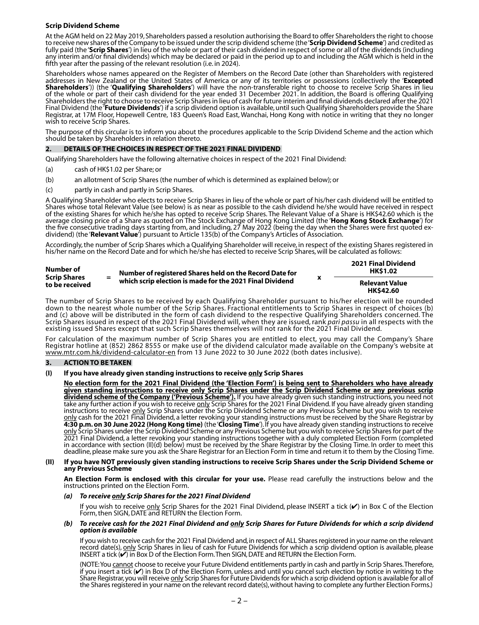#### **Scrip Dividend Scheme**

At the AGM held on 22 May 2019, Shareholders passed a resolution authorising the Board to offer Shareholders the right to choose to receive new shares of the Company to be issued under the scrip dividend scheme (the '**Scrip Dividend Scheme**') and credited as fully paid (the '**Scrip Shares**') in lieu of the whole or part of their cash dividend in respect of some or all of the dividends (including any interim and/or final dividends) which may be declared or paid in the period up to and including the AGM which is held in the fifth year after the passing of the relevant resolution (i.e. in 2024).

Shareholders whose names appeared on the Register of Members on the Record Date (other than Shareholders with registered addresses in New Zealand or the United States of America or any of its territories or possessions (collectively the '**Excepted Shareholders**')) (the '**Qualifying Shareholders**') will have the non-transferable right to choose to receive Scrip Shares in lieu of the whole or part of their cash dividend for the year ended 31 December 2021. In addition, the Board is offering Qualifying Shareholders the right to choose to receive Scrip Shares in lieu of cash for future interim and final dividends declared after the 2021 Final Dividend (the '**Future Dividends**') if a scrip dividend option is available, until such Qualifying Shareholders provide the Share Registrar, at 17M Floor, Hopewell Centre, 183 Queen's Road East, Wanchai, Hong Kong with notice in writing that they no longer wish to receive Scrip Shares.

The purpose of this circular is to inform you about the procedures applicable to the Scrip Dividend Scheme and the action which should be taken by Shareholders in relation thereto.

#### **2. DETAILS OF THE CHOICES IN RESPECT OF THE 2021 FINAL DIVIDEND**

Qualifying Shareholders have the following alternative choices in respect of the 2021 Final Dividend:

- (a) cash of HK\$1.02 per Share; or
- (b) an allotment of Scrip Shares (the number of which is determined as explained below); or
- (c) partly in cash and partly in Scrip Shares.

A Qualifying Shareholder who elects to receive Scrip Shares in lieu of the whole or part of his/her cash dividend will be entitled to Shares whose total Relevant Value (see below) is as near as possible to the cash dividend he/she would have received in respect of the existing Shares for which he/she has opted to receive Scrip Shares. The Relevant Value of a Share is HK\$42.60 which is the average closing price of a Share as quoted on The Stock Exchange of Hong Kong Limited (the '**Hong Kong Stock Exchange**') for the five consecutive trading days starting from, and including, 27 May 2022 (being the day when the Shares were first quoted exdividend) (the '**Relevant Value**') pursuant to Article 135(b) of the Company's Articles of Association.

Accordingly, the number of Scrip Shares which a Qualifying Shareholder will receive, in respect of the existing Shares registered in his/her name on the Record Date and for which he/she has elected to receive Scrip Shares, will be calculated as follows:

**2021 Final Dividend** 

| Number of<br><b>Scrip Shares</b><br>to be received | $=$ | Number of registered Shares held on the Record Date for<br>which scrip election is made for the 2021 Final Dividend |  | ZUZ I FIIIAI DIVIUCIIU<br><b>HK\$1.02</b> |
|----------------------------------------------------|-----|---------------------------------------------------------------------------------------------------------------------|--|-------------------------------------------|
|                                                    |     |                                                                                                                     |  | <b>Relevant Value</b><br><b>HK\$42.60</b> |

The number of Scrip Shares to be received by each Qualifying Shareholder pursuant to his/her election will be rounded down to the nearest whole number of the Scrip Shares. Fractional entitlements to Scrip Shares in respect of choices (b) and (c) above will be distributed in the form of cash dividend to the respective Qualifying Shareholders concerned. The Scrip Shares issued in respect of the 2021 Final Dividend will, when they are issued, rank *pari passu* in all respects with the existing issued Shares except that such Scrip Shares themselves will not rank for the 2021 Final Dividend.

For calculation of the maximum number of Scrip Shares you are entitled to elect, you may call the Company's Share Registrar hotline at (852) 2862 8555 or make use of the dividend calculator made available on the Company's website at www.mtr.com.hk/dividend-calculator-en from 13 June 2022 to 30 June 2022 (both dates inclusive).

#### **3. ACTION TO BE TAKEN**

#### **(I) If you have already given standing instructions to receive only Scrip Shares**

**No election form for the 2021 Final Dividend (the 'Election Form') is being sent to Shareholders who have already given standing instructions to receive only Scrip Shares under the Scrip Dividend Scheme or any previous scrip dividend scheme of the Company ('Previous Scheme').** If you have already given such standing instructions, you need not take any further action if you wish to receive only Scrip Shares for the 2021 Final Dividend. If you have already given standing instructions to receive <u>only</u> Scrip Shares under the Scrip Dividend Scheme or any Previous Scheme but you wish to receive <u>only</u> cash for the 2021 Final Dividend, a letter revoking your standing instructions must be received by the Share Registrar by **4:30 p.m. on 30 June 2022 (Hong Kong time)** (the '**Closing Time**'). If you have already given standing instructions to receive only Scrip Shares under the Scrip Dividend Scheme or any Previous Scheme but you wish to receive Scrip Shares for part of the 2021 Final Dividend, a letter revoking your standing instructions together with a duly completed Election Form (completed in accordance with section (II)(d) below) must be received by the Share Registrar by the Closing Time. In order to meet this deadline, please make sure you ask the Share Registrar for an Election Form in time and return it to them by the Closing Time.

#### **(II) If you have NOT previously given standing instructions to receive Scrip Shares under the Scrip Dividend Scheme or any Previous Scheme**

**An Election Form is enclosed with this circular for your use.** Please read carefully the instructions below and the instructions printed on the Election Form.

#### *(a) To receive only Scrip Shares for the 2021 Final Dividend*

If you wish to receive only Scrip Shares for the 2021 Final Dividend, please INSERT a tick (v) in Box C of the Election Form, then SIGN, DATE and RETURN the Election Form.

#### *(b) To receive cash for the 2021 Final Dividend and only Scrip Shares for Future Dividends for which a scrip dividend option is available*

If you wish to receive cash for the 2021 Final Dividend and, in respect of ALL Shares registered in your name on the relevant record date(s), only Scrip Shares in lieu of cash for Future Dividends for which a scrip dividend option is available, please INSERT a tick (✔) in Box D of the Election Form. Then SIGN, DATE and RETURN the Election Form.

(NOTE: You cannot choose to receive your Future Dividend entitlements partly in cash and partly in Scrip Shares. Therefore, if you insert a tick  $(V)$  in Box D of the Election Form, unless and until you cancel such election by notice in writing to the Share Registrar, you will receive <u>only</u> Scrip Shares for Future Dividends for which a scrip dividend option is available for all of the Shares registered in your name on the relevant record date(s), without having to complete any further Election Forms.)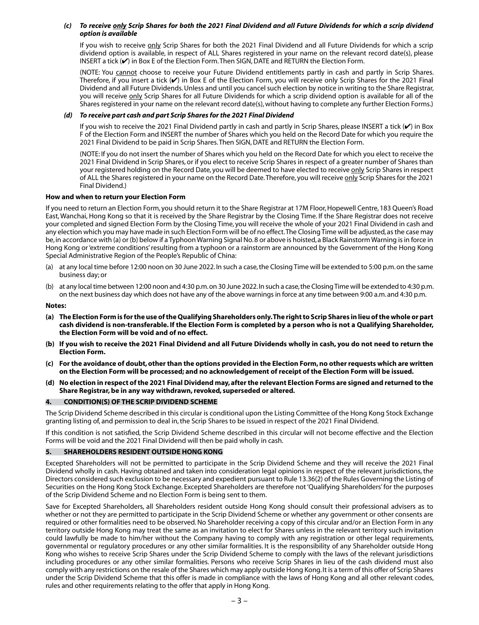#### *(c) To receive only Scrip Shares for both the 2021 Final Dividend and all Future Dividends for which a scrip dividend option is available*

If you wish to receive only Scrip Shares for both the 2021 Final Dividend and all Future Dividends for which a scrip dividend option is available, in respect of ALL Shares registered in your name on the relevant record date(s), please INSERT a tick  $(\checkmark)$  in Box E of the Election Form. Then SIGN, DATE and RETURN the Election Form.

(NOTE: You cannot choose to receive your Future Dividend entitlements partly in cash and partly in Scrip Shares. Therefore, if you insert a tick  $(V)$  in Box E of the Election Form, you will receive only Scrip Shares for the 2021 Final Dividend and all Future Dividends. Unless and until you cancel such election by notice in writing to the Share Registrar, you will receive only Scrip Shares for all Future Dividends for which a scrip dividend option is available for all of the Shares registered in your name on the relevant record date(s), without having to complete any further Election Forms.)

# *(d) To receive part cash and part Scrip Shares for the 2021 Final Dividend*

If you wish to receive the 2021 Final Dividend partly in cash and partly in Scrip Shares, please INSERT a tick (✔) in Box F of the Election Form and INSERT the number of Shares which you held on the Record Date for which you require the 2021 Final Dividend to be paid in Scrip Shares. Then SIGN, DATE and RETURN the Election Form.

(NOTE: If you do not insert the number of Shares which you held on the Record Date for which you elect to receive the 2021 Final Dividend in Scrip Shares, or if you elect to receive Scrip Shares in respect of a greater number of Shares than your registered holding on the Record Date, you will be deemed to have elected to receive only Scrip Shares in respect of ALL the Shares registered in your name on the Record Date. Therefore, you will receive only Scrip Shares for the 2021 Final Dividend.)

# **How and when to return your Election Form**

If you need to return an Election Form, you should return it to the Share Registrar at 17M Floor, Hopewell Centre, 183 Queen's Road East, Wanchai, Hong Kong so that it is received by the Share Registrar by the Closing Time. If the Share Registrar does not receive your completed and signed Election Form by the Closing Time, you will receive the whole of your 2021 Final Dividend in cash and any election which you may have made in such Election Form will be of no effect. The Closing Time will be adjusted, as the case may be, in accordance with (a) or (b) below if a Typhoon Warning Signal No. 8 or above is hoisted, a Black Rainstorm Warning is in force in Hong Kong or 'extreme conditions' resulting from a typhoon or a rainstorm are announced by the Government of the Hong Kong Special Administrative Region of the People's Republic of China:

- (a) at any local time before 12:00 noon on 30 June 2022. In such a case, the Closing Time will be extended to 5:00 p.m. on the same business day; or
- (b) at any local time between 12:00 noon and 4:30 p.m. on 30 June 2022. In such a case, the Closing Time will be extended to 4:30 p.m. on the next business day which does not have any of the above warnings in force at any time between 9:00 a.m. and 4:30 p.m.

# **Notes:**

- **(a) The Election Form is for the use of the Qualifying Shareholders only. The right to Scrip Shares in lieu of the whole or part cash dividend is non-transferable. If the Election Form is completed by a person who is not a Qualifying Shareholder, the Election Form will be void and of no effect.**
- **(b) If you wish to receive the 2021 Final Dividend and all Future Dividends wholly in cash, you do not need to return the Election Form.**
- **(c) For the avoidance of doubt, other than the options provided in the Election Form, no other requests which are written on the Election Form will be processed; and no acknowledgement of receipt of the Election Form will be issued.**
- **(d) No election in respect of the 2021 Final Dividend may, after the relevant Election Forms are signed and returned to the Share Registrar, be in any way withdrawn, revoked, superseded or altered.**

# **4. CONDITION(S) OF THE SCRIP DIVIDEND SCHEME**

The Scrip Dividend Scheme described in this circular is conditional upon the Listing Committee of the Hong Kong Stock Exchange granting listing of, and permission to deal in, the Scrip Shares to be issued in respect of the 2021 Final Dividend.

If this condition is not satisfied, the Scrip Dividend Scheme described in this circular will not become effective and the Election Forms will be void and the 2021 Final Dividend will then be paid wholly in cash.

# **5. SHAREHOLDERS RESIDENT OUTSIDE HONG KONG**

Excepted Shareholders will not be permitted to participate in the Scrip Dividend Scheme and they will receive the 2021 Final Dividend wholly in cash. Having obtained and taken into consideration legal opinions in respect of the relevant jurisdictions, the Directors considered such exclusion to be necessary and expedient pursuant to Rule 13.36(2) of the Rules Governing the Listing of Securities on the Hong Kong Stock Exchange. Excepted Shareholders are therefore not 'Qualifying Shareholders' for the purposes of the Scrip Dividend Scheme and no Election Form is being sent to them.

Save for Excepted Shareholders, all Shareholders resident outside Hong Kong should consult their professional advisers as to whether or not they are permitted to participate in the Scrip Dividend Scheme or whether any government or other consents are required or other formalities need to be observed. No Shareholder receiving a copy of this circular and/or an Election Form in any territory outside Hong Kong may treat the same as an invitation to elect for Shares unless in the relevant territory such invitation could lawfully be made to him/her without the Company having to comply with any registration or other legal requirements, governmental or regulatory procedures or any other similar formalities. It is the responsibility of any Shareholder outside Hong Kong who wishes to receive Scrip Shares under the Scrip Dividend Scheme to comply with the laws of the relevant jurisdictions including procedures or any other similar formalities. Persons who receive Scrip Shares in lieu of the cash dividend must also comply with any restrictions on the resale of the Shares which may apply outside Hong Kong. It is a term of this offer of Scrip Shares under the Scrip Dividend Scheme that this offer is made in compliance with the laws of Hong Kong and all other relevant codes, rules and other requirements relating to the offer that apply in Hong Kong.